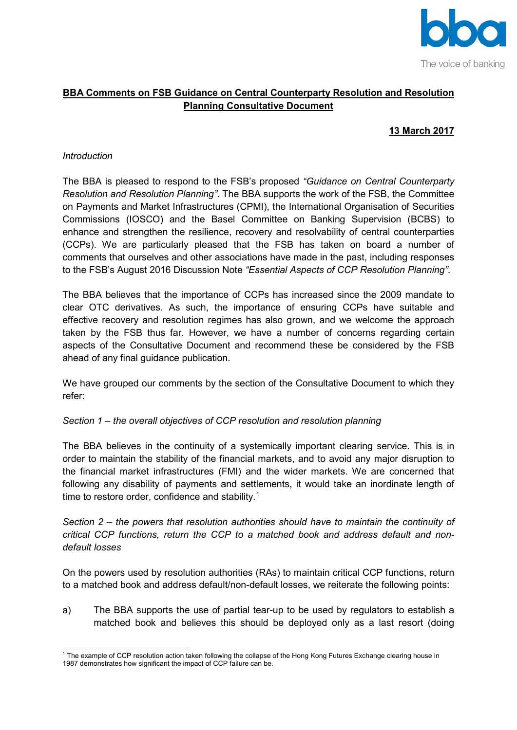

## **BBA Comments on FSB Guidance on Central Counterparty Resolution and Resolution Planning Consultative Document**

# **13 March 2017**

#### *Introduction*

The BBA is pleased to respond to the FSB's proposed *"Guidance on Central Counterparty Resolution and Resolution Planning"*. The BBA supports the work of the FSB, the Committee on Payments and Market Infrastructures (CPMI), the International Organisation of Securities Commissions (IOSCO) and the Basel Committee on Banking Supervision (BCBS) to enhance and strengthen the resilience, recovery and resolvability of central counterparties (CCPs). We are particularly pleased that the FSB has taken on board a number of comments that ourselves and other associations have made in the past, including responses to the FSB's August 2016 Discussion Note *"Essential Aspects of CCP Resolution Planning"*.

The BBA believes that the importance of CCPs has increased since the 2009 mandate to clear OTC derivatives. As such, the importance of ensuring CCPs have suitable and effective recovery and resolution regimes has also grown, and we welcome the approach taken by the FSB thus far. However, we have a number of concerns regarding certain aspects of the Consultative Document and recommend these be considered by the FSB ahead of any final guidance publication.

We have grouped our comments by the section of the Consultative Document to which they refer:

#### *Section 1 – the overall objectives of CCP resolution and resolution planning*

The BBA believes in the continuity of a systemically important clearing service. This is in order to maintain the stability of the financial markets, and to avoid any major disruption to the financial market infrastructures (FMI) and the wider markets. We are concerned that following any disability of payments and settlements, it would take an inordinate length of time to restore order, confidence and stability.<sup>[1](#page-0-0)</sup>

*Section 2 – the powers that resolution authorities should have to maintain the continuity of critical CCP functions, return the CCP to a matched book and address default and nondefault losses* 

On the powers used by resolution authorities (RAs) to maintain critical CCP functions, return to a matched book and address default/non-default losses, we reiterate the following points:

a) The BBA supports the use of partial tear-up to be used by regulators to establish a matched book and believes this should be deployed only as a last resort (doing

<span id="page-0-0"></span>**<sup>.</sup>** <sup>1</sup> The example of CCP resolution action taken following the collapse of the Hong Kong Futures Exchange clearing house in 1987 demonstrates how significant the impact of CCP failure can be.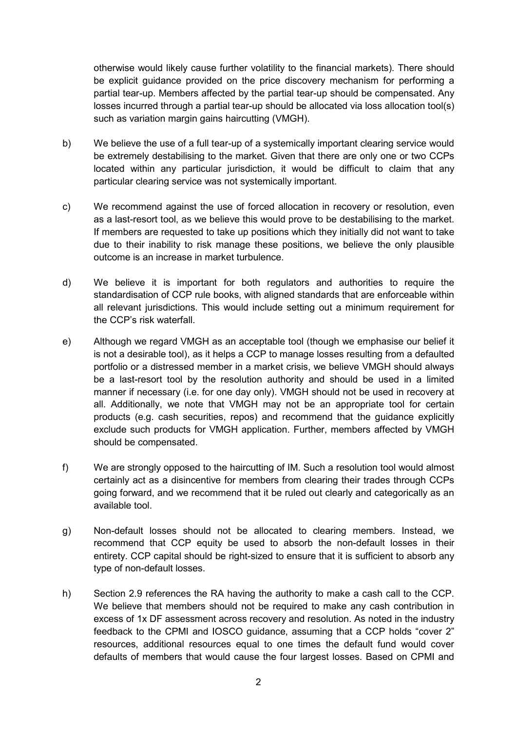otherwise would likely cause further volatility to the financial markets). There should be explicit guidance provided on the price discovery mechanism for performing a partial tear-up. Members affected by the partial tear-up should be compensated. Any losses incurred through a partial tear-up should be allocated via loss allocation tool(s) such as variation margin gains haircutting (VMGH).

- b) We believe the use of a full tear-up of a systemically important clearing service would be extremely destabilising to the market. Given that there are only one or two CCPs located within any particular jurisdiction, it would be difficult to claim that any particular clearing service was not systemically important.
- c) We recommend against the use of forced allocation in recovery or resolution, even as a last-resort tool, as we believe this would prove to be destabilising to the market. If members are requested to take up positions which they initially did not want to take due to their inability to risk manage these positions, we believe the only plausible outcome is an increase in market turbulence.
- d) We believe it is important for both regulators and authorities to require the standardisation of CCP rule books, with aligned standards that are enforceable within all relevant jurisdictions. This would include setting out a minimum requirement for the CCP's risk waterfall.
- e) Although we regard VMGH as an acceptable tool (though we emphasise our belief it is not a desirable tool), as it helps a CCP to manage losses resulting from a defaulted portfolio or a distressed member in a market crisis, we believe VMGH should always be a last-resort tool by the resolution authority and should be used in a limited manner if necessary (i.e. for one day only). VMGH should not be used in recovery at all. Additionally, we note that VMGH may not be an appropriate tool for certain products (e.g. cash securities, repos) and recommend that the guidance explicitly exclude such products for VMGH application. Further, members affected by VMGH should be compensated.
- f) We are strongly opposed to the haircutting of IM. Such a resolution tool would almost certainly act as a disincentive for members from clearing their trades through CCPs going forward, and we recommend that it be ruled out clearly and categorically as an available tool.
- g) Non-default losses should not be allocated to clearing members. Instead, we recommend that CCP equity be used to absorb the non-default losses in their entirety. CCP capital should be right-sized to ensure that it is sufficient to absorb any type of non-default losses.
- h) Section 2.9 references the RA having the authority to make a cash call to the CCP. We believe that members should not be required to make any cash contribution in excess of 1x DF assessment across recovery and resolution. As noted in the industry feedback to the CPMI and IOSCO guidance, assuming that a CCP holds "cover 2" resources, additional resources equal to one times the default fund would cover defaults of members that would cause the four largest losses. Based on CPMI and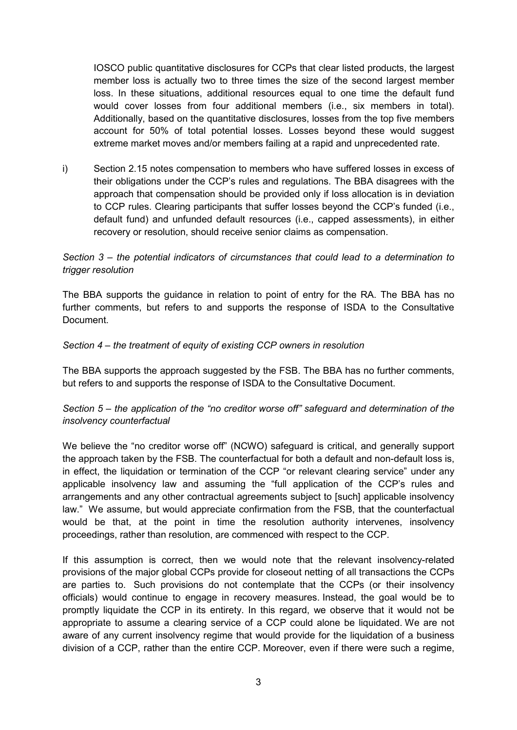IOSCO public quantitative disclosures for CCPs that clear listed products, the largest member loss is actually two to three times the size of the second largest member loss. In these situations, additional resources equal to one time the default fund would cover losses from four additional members (i.e., six members in total). Additionally, based on the quantitative disclosures, losses from the top five members account for 50% of total potential losses. Losses beyond these would suggest extreme market moves and/or members failing at a rapid and unprecedented rate.

i) Section 2.15 notes compensation to members who have suffered losses in excess of their obligations under the CCP's rules and regulations. The BBA disagrees with the approach that compensation should be provided only if loss allocation is in deviation to CCP rules. Clearing participants that suffer losses beyond the CCP's funded (i.e., default fund) and unfunded default resources (i.e., capped assessments), in either recovery or resolution, should receive senior claims as compensation.

### *Section 3 – the potential indicators of circumstances that could lead to a determination to trigger resolution*

The BBA supports the guidance in relation to point of entry for the RA. The BBA has no further comments, but refers to and supports the response of ISDA to the Consultative Document.

### *Section 4 – the treatment of equity of existing CCP owners in resolution*

The BBA supports the approach suggested by the FSB. The BBA has no further comments, but refers to and supports the response of ISDA to the Consultative Document.

### *Section 5 – the application of the "no creditor worse off" safeguard and determination of the insolvency counterfactual*

We believe the "no creditor worse off" (NCWO) safeguard is critical, and generally support the approach taken by the FSB. The counterfactual for both a default and non-default loss is, in effect, the liquidation or termination of the CCP "or relevant clearing service" under any applicable insolvency law and assuming the "full application of the CCP's rules and arrangements and any other contractual agreements subject to [such] applicable insolvency law." We assume, but would appreciate confirmation from the FSB, that the counterfactual would be that, at the point in time the resolution authority intervenes, insolvency proceedings, rather than resolution, are commenced with respect to the CCP.

If this assumption is correct, then we would note that the relevant insolvency-related provisions of the major global CCPs provide for closeout netting of all transactions the CCPs are parties to. Such provisions do not contemplate that the CCPs (or their insolvency officials) would continue to engage in recovery measures. Instead, the goal would be to promptly liquidate the CCP in its entirety. In this regard, we observe that it would not be appropriate to assume a clearing service of a CCP could alone be liquidated. We are not aware of any current insolvency regime that would provide for the liquidation of a business division of a CCP, rather than the entire CCP. Moreover, even if there were such a regime,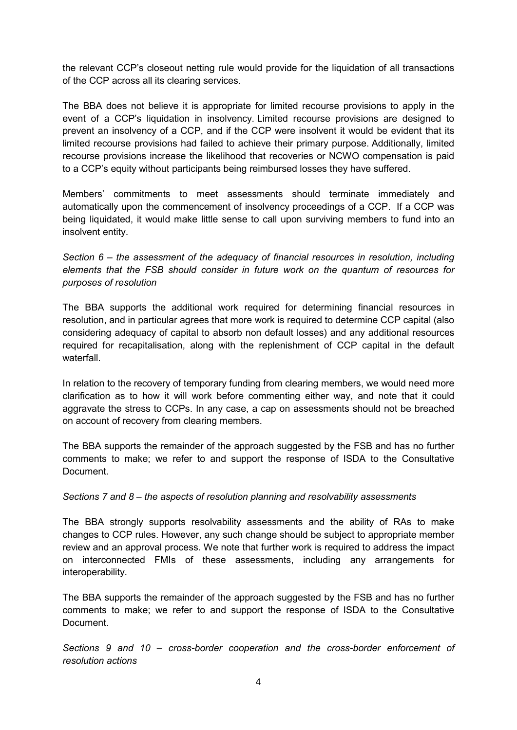the relevant CCP's closeout netting rule would provide for the liquidation of all transactions of the CCP across all its clearing services.

The BBA does not believe it is appropriate for limited recourse provisions to apply in the event of a CCP's liquidation in insolvency. Limited recourse provisions are designed to prevent an insolvency of a CCP, and if the CCP were insolvent it would be evident that its limited recourse provisions had failed to achieve their primary purpose. Additionally, limited recourse provisions increase the likelihood that recoveries or NCWO compensation is paid to a CCP's equity without participants being reimbursed losses they have suffered.

Members' commitments to meet assessments should terminate immediately and automatically upon the commencement of insolvency proceedings of a CCP. If a CCP was being liquidated, it would make little sense to call upon surviving members to fund into an insolvent entity.

*Section 6 – the assessment of the adequacy of financial resources in resolution, including elements that the FSB should consider in future work on the quantum of resources for purposes of resolution* 

The BBA supports the additional work required for determining financial resources in resolution, and in particular agrees that more work is required to determine CCP capital (also considering adequacy of capital to absorb non default losses) and any additional resources required for recapitalisation, along with the replenishment of CCP capital in the default waterfall.

In relation to the recovery of temporary funding from clearing members, we would need more clarification as to how it will work before commenting either way, and note that it could aggravate the stress to CCPs. In any case, a cap on assessments should not be breached on account of recovery from clearing members.

The BBA supports the remainder of the approach suggested by the FSB and has no further comments to make; we refer to and support the response of ISDA to the Consultative Document.

#### *Sections 7 and 8 – the aspects of resolution planning and resolvability assessments*

The BBA strongly supports resolvability assessments and the ability of RAs to make changes to CCP rules. However, any such change should be subject to appropriate member review and an approval process. We note that further work is required to address the impact on interconnected FMIs of these assessments, including any arrangements for interoperability.

The BBA supports the remainder of the approach suggested by the FSB and has no further comments to make; we refer to and support the response of ISDA to the Consultative Document.

*Sections 9 and 10 – cross-border cooperation and the cross-border enforcement of resolution actions*